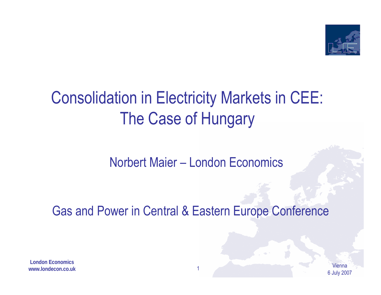

# Consolidation in Electricity Markets in CEE: The Case of Hungary

#### Norbert Maier – London Economics

Gas and Power in Central & Eastern Europe Conference

**London Economicswww.londecon.co.uk**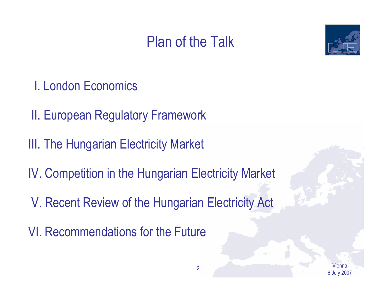### Plan of the Talk



- I. London Economics
- II. European Regulatory Framework
- III. The Hungarian Electricity Market
- IV. Competition in the Hungarian Electricity Market
- V. Recent Review of the Hungarian Electricity Act
- VI. Recommendations for the Future

Vienna6 July 2007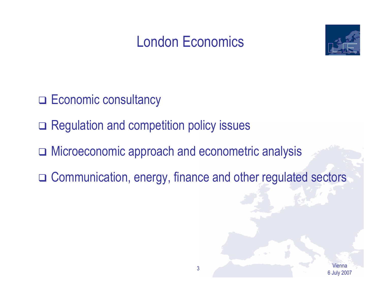### London Economics



- D Economic consultancy
- □ Regulation and competition policy issues
- Microeconomic approach and econometric analysis
- Communication, energy, finance and other regulated sectors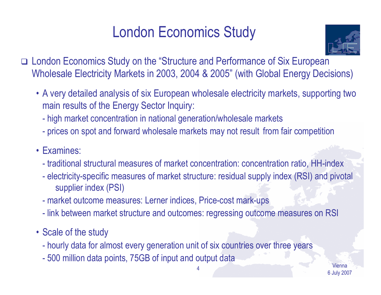### London Economics Study



- London Economics Study on the "Structure and Performance of Six European Wholesale Electricity Markets in 2003, 2004 & 2005" (with Global Energy Decisions)
	- A very detailed analysis of six European wholesale electricity markets, supporting two main results of the Energy Sector Inquiry:
		- high market concentration in national generation/wholesale markets
		- prices on spot and forward wholesale markets may not result from fair competition
	- Examines:
		- traditional structural measures of market concentration: concentration ratio, HH-index
		- $\mathcal{L}_{\mathcal{A}}$  electricity-specific measures of market structure: residual supply index (RSI) and pivotal supplier index (PSI)

4

- market outcome measures: Lerner indices, Price-cost mark-ups
- link between market structure and outcomes: regressing outcome measures on RSI
- Scale of the study
	- hourly data for almost every generation unit of six countries over three years
	- $\mathcal{L}_{\mathcal{A}}$ 500 million data points, 75GB of input and output data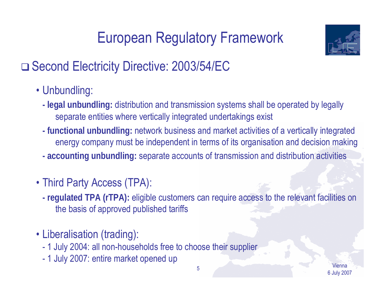# European Regulatory Framework



### □ Second Electricity Directive: 2003/54/EC

- Unbundling:
	- **legal unbundling:** distribution and transmission systems shall be operated by legally separate entities where vertically integrated undertakings exist
	- **functional unbundling:** network business and market activities of a vertically integrated energy company must be independent in terms of its organisation and decision making
	- **accounting unbundling:** separate accounts of transmission and distribution activities
- Third Party Access (TPA):
	- **regulated TPA (rTPA):** eligible customers can require access to the relevant facilities on the basis of approved published tariffs
- Liberalisation (trading):
	- 1 July 2004: all non-households free to choose their supplier
	- 1 July 2007: entire market opened up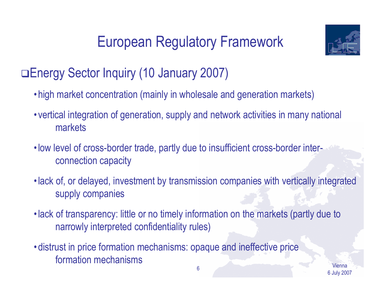# European Regulatory Framework



#### Energy Sector Inquiry (10 January 2007)

- high market concentration (mainly in wholesale and generation markets)
- vertical integration of generation, supply and network activities in many national markets
- low level of cross-border trade, partly due to insufficient cross-border interconnection capacity
- lack of, or delayed, investment by transmission companies with vertically integrated supply companies
- lack of transparency: little or no timely information on the markets (partly due to narrowly interpreted confidentiality rules)
- distrust in price formation mechanisms: opaque and ineffective price formation mechanisms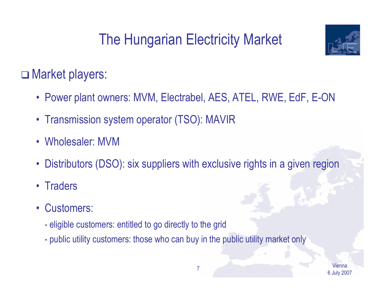

#### □ Market players:

- Power plant owners: MVM, Electrabel, AES, ATEL, RWE, EdF, E-ON
- Transmission system operator (TSO): MAVIR
- Wholesaler: MVM
- •Distributors (DSO): six suppliers with exclusive rights in a given region
- Traders
- • Customers:
	- $\mathcal{L}_{\mathcal{A}}$ eligible customers: entitled to go directly to the grid
	- public utility customers: those who can buy in the public utility market only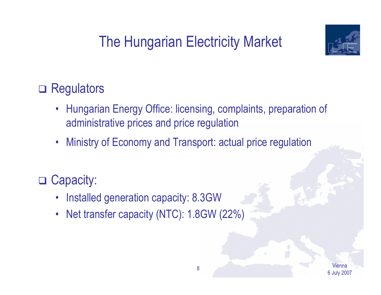

#### □ Regulators

- $\bullet$  Hungarian Energy Office: licensing, complaints, preparation of administrative prices and price regulation
- •Ministry of Economy and Transport: actual price regulation

#### □ Capacity:

- •Installed generation capacity: 8.3GW
- $\bullet$ Net transfer capacity (NTC): 1.8GW (22%)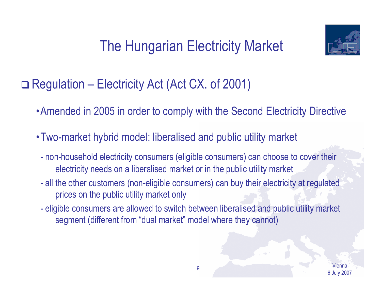

□ Regulation – Electricity Act (Act CX. of 2001)

- •Amended in 2005 in order to comply with the Second Electricity Directive
- •Two-market hybrid model: liberalised and public utility market
	- $\mathcal{L}_{\mathcal{A}}$  non-household electricity consumers (eligible consumers) can choose to cover their electricity needs on a liberalised market or in the public utility market
	- $\mathcal{L}_{\mathcal{A}}$  all the other customers (non-eligible consumers) can buy their electricity at regulated prices on the public utility market only
	- $\mathcal{L}_{\mathcal{A}}$  eligible consumers are allowed to switch between liberalised and public utility market segment (different from "dual market" model where they cannot)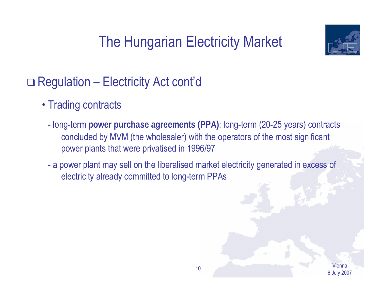

- Trading contracts
	- long-term **power purchase agreements (PPA)**: long-term (20-25 years) contracts concluded by MVM (the wholesaler) with the operators of the most significant power plants that were privatised in 1996/97
	- a power plant may sell on the liberalised market electricity generated in excess of electricity already committed to long-term PPAs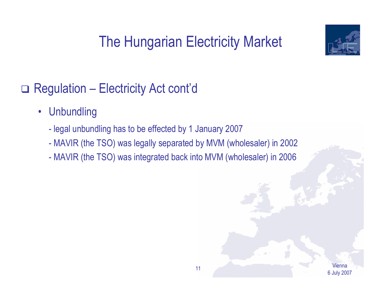

- $\bullet$ **Unbundling** 
	- legal unbundling has to be effected by 1 January 2007
	- $\mathcal{L}_{\mathcal{A}}$ MAVIR (the TSO) was legally separated by MVM (wholesaler) in 2002
	- MAVIR (the TSO) was integrated back into MVM (wholesaler) in 2006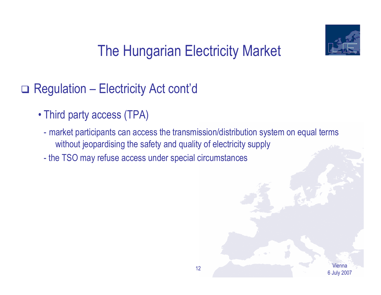

- Third party access (TPA)
	- market participants can access the transmission/distribution system on equal terms without jeopardising the safety and quality of electricity supply
	- the TSO may refuse access under special circumstances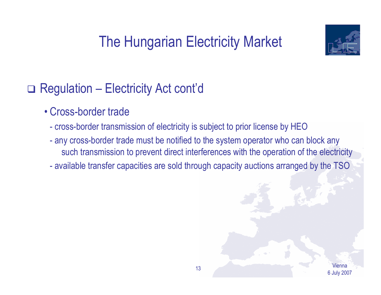

- Cross-border trade
	- cross-border transmission of electricity is subject to prior license by HEO
	- any cross-border trade must be notified to the system operator who can block any such transmission to prevent direct interferences with the operation of the electricity
	- available transfer capacities are sold through capacity auctions arranged by the TSO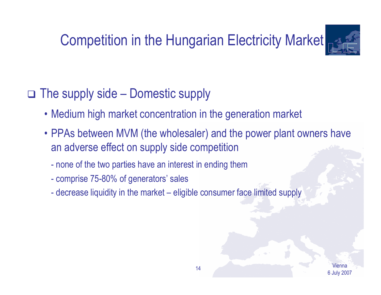## Competition in the Hungarian Electricity Market



#### The supply side – Domestic supply

- Medium high market concentration in the generation market
- PPAs between MVM (the wholesaler) and the power plant owners have an adverse effect on supply side competition
	- none of the two parties have an interest in ending them
	- comprise 75-80% of generators' sales
	- decrease liquidity in the market eligible consumer face limited supply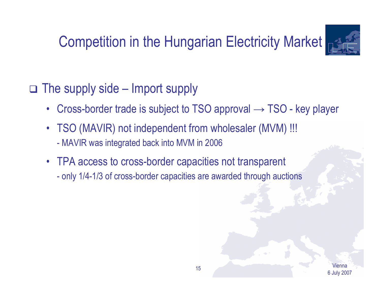## Competition in the Hungarian Electricity Market



#### The supply side – Import supply

- $\bullet$ Cross-border trade is subject to TSO approval  $\rightarrow$  TSO - key player
- $\bullet$  TSO (MAVIR) not independent from wholesaler (MVM) !!! -MAVIR was integrated back into MVM in 2006
- TPA access to cross-border capacities not transparent  $\mathcal{L}_{\mathcal{A}}$ only 1/4-1/3 of cross-border capacities are awarded through auctions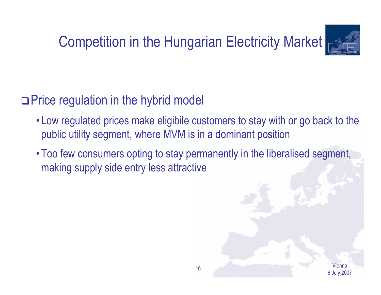## Competition in the Hungarian Electricity Market



#### □ Price regulation in the hybrid model

- Low regulated prices make eligibile customers to stay with or go back to the public utility segment, where MVM is in a dominant position
- Too few consumers opting to stay permanently in the liberalised segment, making supply side entry less attractive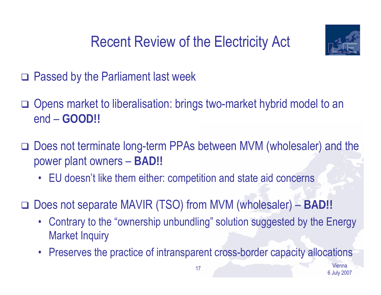



- □ Passed by the Parliament last week
- □ Opens market to liberalisation: brings two-market hybrid model to an end – **GOOD!!**
- □ Does not terminate long-term PPAs between MVM (wholesaler) and the power plant owners – **BAD!!**
	- $\bullet$ EU doesn't like them either: competition and state aid concerns
- Does not separate MAVIR (TSO) from MVM (wholesaler) **BAD!!**
	- Contrary to the "ownership unbundling" solution suggested by the Energy Market Inquiry
	- $\bullet$ Preserves the practice of intransparent cross-border capacity allocations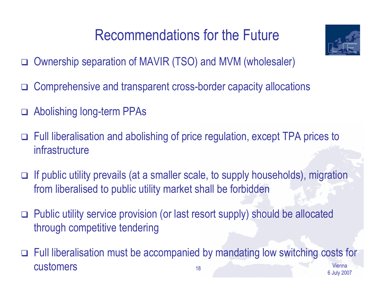### Recommendations for the Future

- Ownership separation of MAVIR (TSO) and MVM (wholesaler)
- $\Box$ Comprehensive and transparent cross-border capacity allocations
- Abolishing long-term PPAs
- Full liberalisation and abolishing of price regulation, except TPA prices to infrastructure
- □ If public utility prevails (at a smaller scale, to supply households), migration from liberalised to public utility market shall be forbidden
- Public utility service provision (or last resort supply) should be allocated through competitive tendering
- Viennaexample of the contract of the contract of the contract of the contract of the contract of the contract of the contract of the contract of the contract of the contract of the contract of the contract of the contract of the Full liberalisation must be accompanied by mandating low switching costs for customers